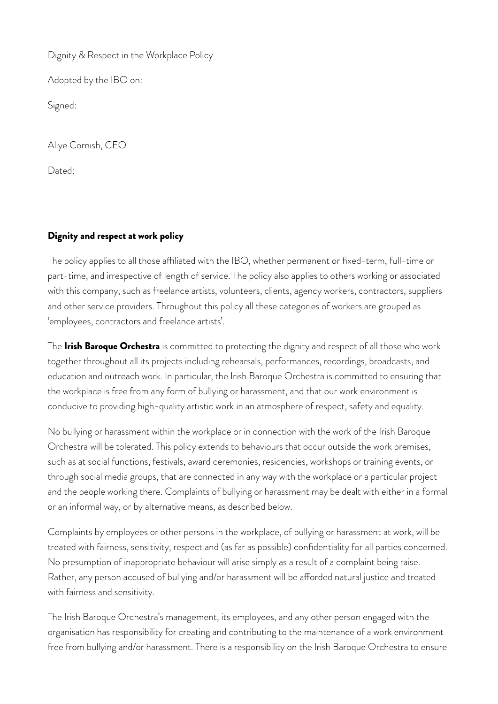Dignity & Respect in the Workplace Policy

Adopted by the IBO on:

Signed:

Aliye Cornish, CEO

Dated:

# Dignity and respect at work policy

The policy applies to all those affiliated with the IBO, whether permanent or fixed-term, full-time or part-time, and irrespective of length of service. The policy also applies to others working or associated with this company, such as freelance artists, volunteers, clients, agency workers, contractors, suppliers and other service providers. Throughout this policy all these categories of workers are grouped as 'employees, contractors and freelance artists'.

The Irish Baroque Orchestra is committed to protecting the dignity and respect of all those who work together throughout all its projects including rehearsals, performances, recordings, broadcasts, and education and outreach work. In particular, the Irish Baroque Orchestra is committed to ensuring that the workplace is free from any form of bullying or harassment, and that our work environment is conducive to providing high-quality artistic work in an atmosphere of respect, safety and equality.

No bullying or harassment within the workplace or in connection with the work of the Irish Baroque Orchestra will be tolerated. This policy extends to behaviours that occur outside the work premises, such as at social functions, festivals, award ceremonies, residencies, workshops or training events, or through social media groups, that are connected in any way with the workplace or a particular project and the people working there. Complaints of bullying or harassment may be dealt with either in a formal or an informal way, or by alternative means, as described below.

Complaints by employees or other persons in the workplace, of bullying or harassment at work, will be treated with fairness, sensitivity, respect and (as far as possible) confidentiality for all parties concerned. No presumption of inappropriate behaviour will arise simply as a result of a complaint being raise. Rather, any person accused of bullying and/or harassment will be afforded natural justice and treated with fairness and sensitivity.

The Irish Baroque Orchestra's management, its employees, and any other person engaged with the organisation has responsibility for creating and contributing to the maintenance of a work environment free from bullying and/or harassment. There is a responsibility on the Irish Baroque Orchestra to ensure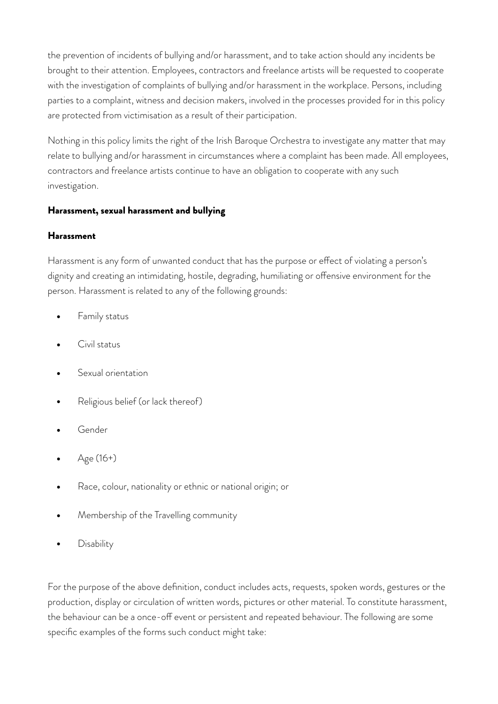the prevention of incidents of bullying and/or harassment, and to take action should any incidents be brought to their attention. Employees, contractors and freelance artists will be requested to cooperate with the investigation of complaints of bullying and/or harassment in the workplace. Persons, including parties to a complaint, witness and decision makers, involved in the processes provided for in this policy are protected from victimisation as a result of their participation.

Nothing in this policy limits the right of the Irish Baroque Orchestra to investigate any matter that may relate to bullying and/or harassment in circumstances where a complaint has been made. All employees, contractors and freelance artists continue to have an obligation to cooperate with any such investigation.

## Harassment, sexual harassment and bullying

### Harassment

Harassment is any form of unwanted conduct that has the purpose or effect of violating a person's dignity and creating an intimidating, hostile, degrading, humiliating or ofensive environment for the person. Harassment is related to any of the following grounds:

- Family status
- Civil status
- Sexual orientation
- Religious belief (or lack thereof)
- Gender
- Age (16+)
- Race, colour, nationality or ethnic or national origin; or
- Membership of the Travelling community
- **Disability**

For the purpose of the above definition, conduct includes acts, requests, spoken words, gestures or the production, display or circulation of written words, pictures or other material. To constitute harassment, the behaviour can be a once-off event or persistent and repeated behaviour. The following are some specific examples of the forms such conduct might take: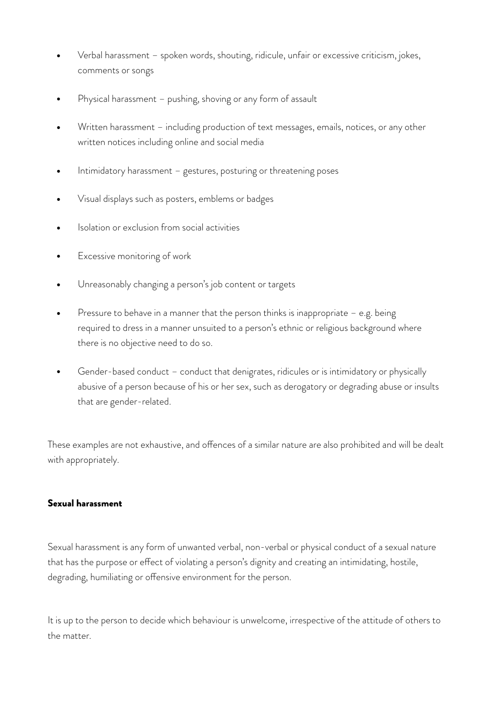- Verbal harassment spoken words, shouting, ridicule, unfair or excessive criticism, jokes, comments or songs
- Physical harassment pushing, shoving or any form of assault
- Written harassment including production of text messages, emails, notices, or any other written notices including online and social media
- Intimidatory harassment gestures, posturing or threatening poses
- Visual displays such as posters, emblems or badges
- Isolation or exclusion from social activities
- Excessive monitoring of work
- Unreasonably changing a person's job content or targets
- Pressure to behave in a manner that the person thinks is inappropriate  $-$  e.g. being required to dress in a manner unsuited to a person's ethnic or religious background where there is no objective need to do so.
- Gender-based conduct conduct that denigrates, ridicules or is intimidatory or physically abusive of a person because of his or her sex, such as derogatory or degrading abuse or insults that are gender-related.

These examples are not exhaustive, and offences of a similar nature are also prohibited and will be dealt with appropriately.

#### Sexual harassment

Sexual harassment is any form of unwanted verbal, non-verbal or physical conduct of a sexual nature that has the purpose or efect of violating a person's dignity and creating an intimidating, hostile, degrading, humiliating or offensive environment for the person.

It is up to the person to decide which behaviour is unwelcome, irrespective of the attitude of others to the matter.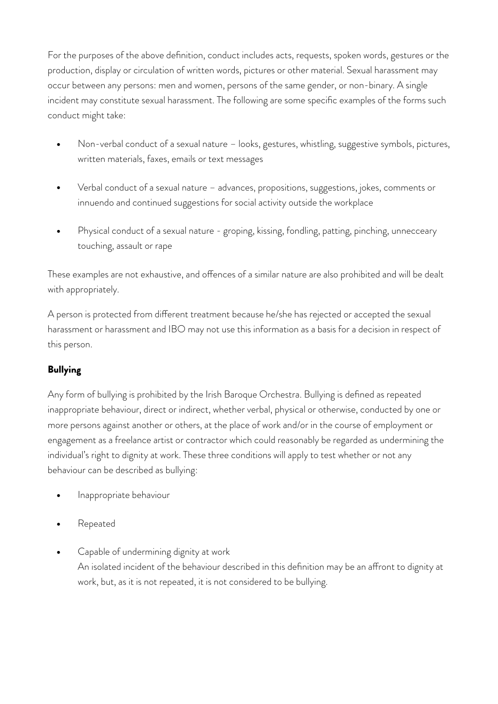For the purposes of the above definition, conduct includes acts, requests, spoken words, gestures or the production, display or circulation of written words, pictures or other material. Sexual harassment may occur between any persons: men and women, persons of the same gender, or non-binary. A single incident may constitute sexual harassment. The following are some specific examples of the forms such conduct might take:

- Non-verbal conduct of a sexual nature looks, gestures, whistling, suggestive symbols, pictures, written materials, faxes, emails or text messages
- Verbal conduct of a sexual nature advances, propositions, suggestions, jokes, comments or innuendo and continued suggestions for social activity outside the workplace
- Physical conduct of a sexual nature groping, kissing, fondling, patting, pinching, unnecceary touching, assault or rape

These examples are not exhaustive, and offences of a similar nature are also prohibited and will be dealt with appropriately.

A person is protected from diferent treatment because he/she has rejected or accepted the sexual harassment or harassment and IBO may not use this information as a basis for a decision in respect of this person.

# **Bullying**

Any form of bullying is prohibited by the Irish Baroque Orchestra. Bullying is defined as repeated inappropriate behaviour, direct or indirect, whether verbal, physical or otherwise, conducted by one or more persons against another or others, at the place of work and/or in the course of employment or engagement as a freelance artist or contractor which could reasonably be regarded as undermining the individual's right to dignity at work. These three conditions will apply to test whether or not any behaviour can be described as bullying:

- Inappropriate behaviour
- Repeated
- Capable of undermining dignity at work An isolated incident of the behaviour described in this definition may be an afront to dignity at work, but, as it is not repeated, it is not considered to be bullying.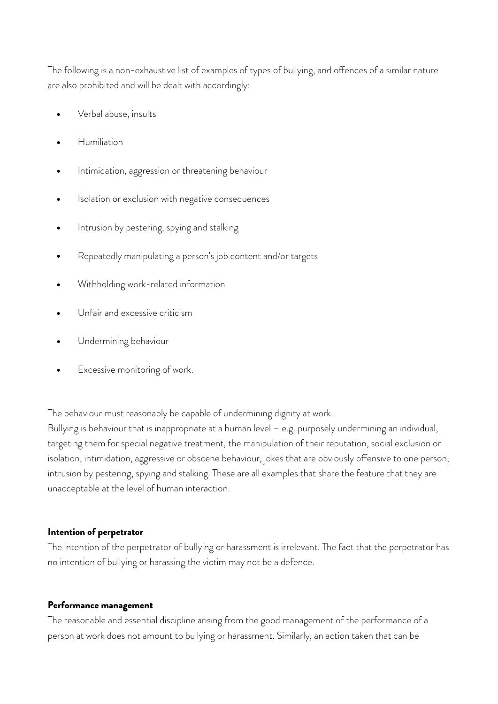The following is a non-exhaustive list of examples of types of bullying, and offences of a similar nature are also prohibited and will be dealt with accordingly:

- Verbal abuse, insults
- Humiliation
- Intimidation, aggression or threatening behaviour
- Isolation or exclusion with negative consequences
- Intrusion by pestering, spying and stalking
- Repeatedly manipulating a person's job content and/or targets
- Withholding work-related information
- Unfair and excessive criticism
- Undermining behaviour
- Excessive monitoring of work.

The behaviour must reasonably be capable of undermining dignity at work.

Bullying is behaviour that is inappropriate at a human level – e.g. purposely undermining an individual, targeting them for special negative treatment, the manipulation of their reputation, social exclusion or isolation, intimidation, aggressive or obscene behaviour, jokes that are obviously offensive to one person, intrusion by pestering, spying and stalking. These are all examples that share the feature that they are unacceptable at the level of human interaction.

### Intention of perpetrator

The intention of the perpetrator of bullying or harassment is irrelevant. The fact that the perpetrator has no intention of bullying or harassing the victim may not be a defence.

### Performance management

The reasonable and essential discipline arising from the good management of the performance of a person at work does not amount to bullying or harassment. Similarly, an action taken that can be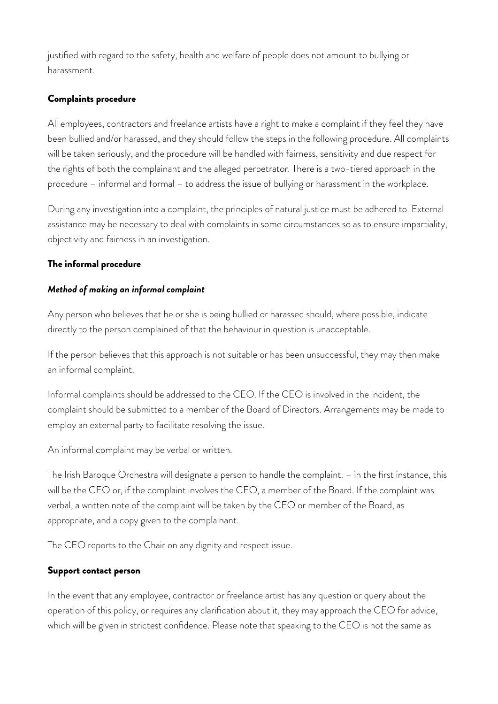justified with regard to the safety, health and welfare of people does not amount to bullying or harassment.

## Complaints procedure

All employees, contractors and freelance artists have a right to make a complaint if they feel they have been bullied and/or harassed, and they should follow the steps in the following procedure. All complaints will be taken seriously, and the procedure will be handled with fairness, sensitivity and due respect for the rights of both the complainant and the alleged perpetrator. There is a two-tiered approach in the procedure – informal and formal – to address the issue of bullying or harassment in the workplace.

During any investigation into a complaint, the principles of natural justice must be adhered to. External assistance may be necessary to deal with complaints in some circumstances so as to ensure impartiality, objectivity and fairness in an investigation.

### The informal procedure

## *Method of making an informal complaint*

Any person who believes that he or she is being bullied or harassed should, where possible, indicate directly to the person complained of that the behaviour in question is unacceptable.

If the person believes that this approach is not suitable or has been unsuccessful, they may then make an informal complaint.

Informal complaints should be addressed to the CEO. If the CEO is involved in the incident, the complaint should be submitted to a member of the Board of Directors. Arrangements may be made to employ an external party to facilitate resolving the issue.

An informal complaint may be verbal or written.

The Irish Baroque Orchestra will designate a person to handle the complaint. – in the first instance, this will be the CEO or, if the complaint involves the CEO, a member of the Board. If the complaint was verbal, a written note of the complaint will be taken by the CEO or member of the Board, as appropriate, and a copy given to the complainant.

The CEO reports to the Chair on any dignity and respect issue.

# Support contact person

In the event that any employee, contractor or freelance artist has any question or query about the operation of this policy, or requires any clarification about it, they may approach the CEO for advice, which will be given in strictest confidence. Please note that speaking to the CEO is not the same as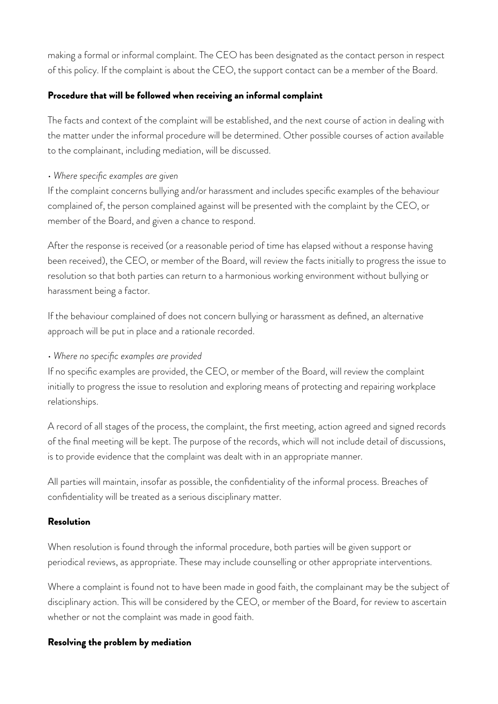making a formal or informal complaint. The CEO has been designated as the contact person in respect of this policy. If the complaint is about the CEO, the support contact can be a member of the Board.

### Procedure that will be followed when receiving an informal complaint

The facts and context of the complaint will be established, and the next course of action in dealing with the matter under the informal procedure will be determined. Other possible courses of action available to the complainant, including mediation, will be discussed.

#### • *Where specific examples are given*

If the complaint concerns bullying and/or harassment and includes specific examples of the behaviour complained of, the person complained against will be presented with the complaint by the CEO, or member of the Board, and given a chance to respond.

After the response is received (or a reasonable period of time has elapsed without a response having been received), the CEO, or member of the Board, will review the facts initially to progress the issue to resolution so that both parties can return to a harmonious working environment without bullying or harassment being a factor.

If the behaviour complained of does not concern bullying or harassment as defined, an alternative approach will be put in place and a rationale recorded.

### • *Where no specific examples are provided*

If no specific examples are provided, the CEO, or member of the Board, will review the complaint initially to progress the issue to resolution and exploring means of protecting and repairing workplace relationships.

A record of all stages of the process, the complaint, the first meeting, action agreed and signed records of the final meeting will be kept. The purpose of the records, which will not include detail of discussions, is to provide evidence that the complaint was dealt with in an appropriate manner.

All parties will maintain, insofar as possible, the confidentiality of the informal process. Breaches of confidentiality will be treated as a serious disciplinary matter.

#### Resolution

When resolution is found through the informal procedure, both parties will be given support or periodical reviews, as appropriate. These may include counselling or other appropriate interventions.

Where a complaint is found not to have been made in good faith, the complainant may be the subject of disciplinary action. This will be considered by the CEO, or member of the Board, for review to ascertain whether or not the complaint was made in good faith.

#### Resolving the problem by mediation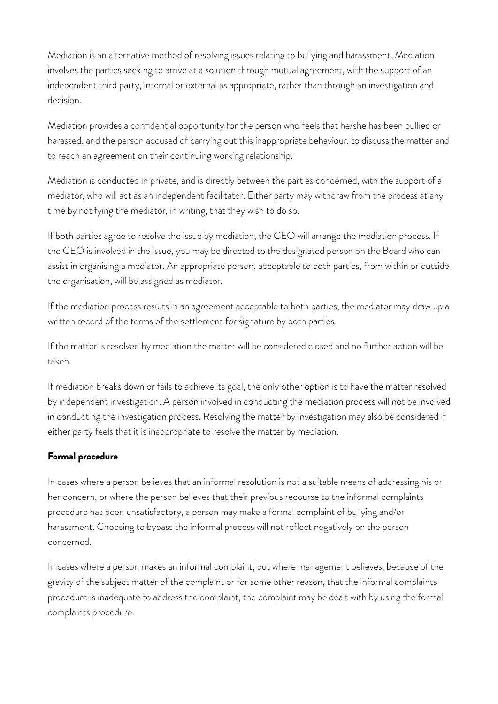Mediation is an alternative method of resolving issues relating to bullying and harassment. Mediation involves the parties seeking to arrive at a solution through mutual agreement, with the support of an independent third party, internal or external as appropriate, rather than through an investigation and decision.

Mediation provides a confidential opportunity for the person who feels that he/she has been bullied or harassed, and the person accused of carrying out this inappropriate behaviour, to discuss the matter and to reach an agreement on their continuing working relationship.

Mediation is conducted in private, and is directly between the parties concerned, with the support of a mediator, who will act as an independent facilitator. Either party may withdraw from the process at any time by notifying the mediator, in writing, that they wish to do so.

If both parties agree to resolve the issue by mediation, the CEO will arrange the mediation process. If the CEO is involved in the issue, you may be directed to the designated person on the Board who can assist in organising a mediator. An appropriate person, acceptable to both parties, from within or outside the organisation, will be assigned as mediator.

If the mediation process results in an agreement acceptable to both parties, the mediator may draw up a written record of the terms of the settlement for signature by both parties.

If the matter is resolved by mediation the matter will be considered closed and no further action will be taken.

If mediation breaks down or fails to achieve its goal, the only other option is to have the matter resolved by independent investigation. A person involved in conducting the mediation process will not be involved in conducting the investigation process. Resolving the matter by investigation may also be considered if either party feels that it is inappropriate to resolve the matter by mediation.

# Formal procedure

In cases where a person believes that an informal resolution is not a suitable means of addressing his or her concern, or where the person believes that their previous recourse to the informal complaints procedure has been unsatisfactory, a person may make a formal complaint of bullying and/or harassment. Choosing to bypass the informal process will not reflect negatively on the person concerned.

In cases where a person makes an informal complaint, but where management believes, because of the gravity of the subject matter of the complaint or for some other reason, that the informal complaints procedure is inadequate to address the complaint, the complaint may be dealt with by using the formal complaints procedure.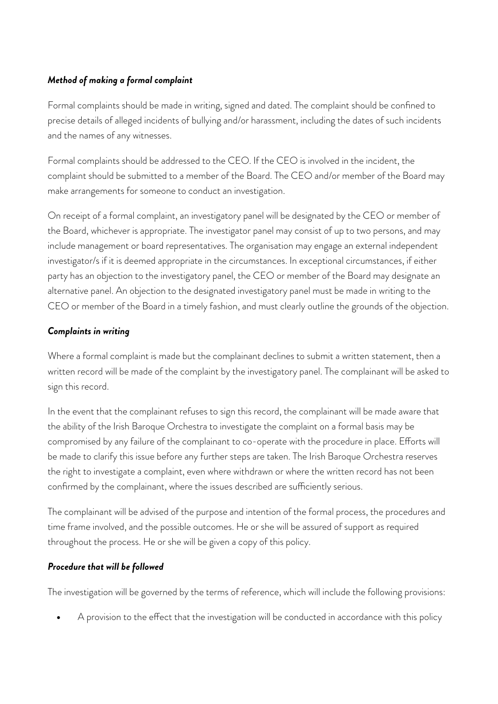# *Method of making a formal complaint*

Formal complaints should be made in writing, signed and dated. The complaint should be confined to precise details of alleged incidents of bullying and/or harassment, including the dates of such incidents and the names of any witnesses.

Formal complaints should be addressed to the CEO. If the CEO is involved in the incident, the complaint should be submitted to a member of the Board. The CEO and/or member of the Board may make arrangements for someone to conduct an investigation.

On receipt of a formal complaint, an investigatory panel will be designated by the CEO or member of the Board, whichever is appropriate. The investigator panel may consist of up to two persons, and may include management or board representatives. The organisation may engage an external independent investigator/s if it is deemed appropriate in the circumstances. In exceptional circumstances, if either party has an objection to the investigatory panel, the CEO or member of the Board may designate an alternative panel. An objection to the designated investigatory panel must be made in writing to the CEO or member of the Board in a timely fashion, and must clearly outline the grounds of the objection.

# *Complaints in writing*

Where a formal complaint is made but the complainant declines to submit a written statement, then a written record will be made of the complaint by the investigatory panel. The complainant will be asked to sign this record.

In the event that the complainant refuses to sign this record, the complainant will be made aware that the ability of the Irish Baroque Orchestra to investigate the complaint on a formal basis may be compromised by any failure of the complainant to co-operate with the procedure in place. Eforts will be made to clarify this issue before any further steps are taken. The Irish Baroque Orchestra reserves the right to investigate a complaint, even where withdrawn or where the written record has not been confirmed by the complainant, where the issues described are sufficiently serious.

The complainant will be advised of the purpose and intention of the formal process, the procedures and time frame involved, and the possible outcomes. He or she will be assured of support as required throughout the process. He or she will be given a copy of this policy.

# *Procedure that will be followed*

The investigation will be governed by the terms of reference, which will include the following provisions:

A provision to the effect that the investigation will be conducted in accordance with this policy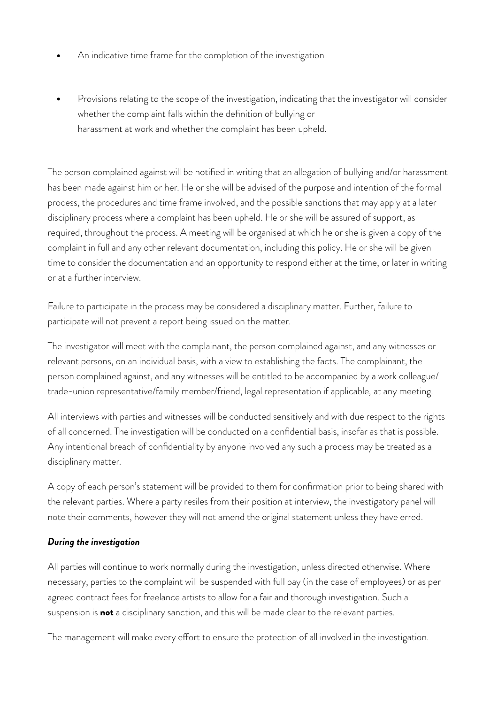- An indicative time frame for the completion of the investigation
- Provisions relating to the scope of the investigation, indicating that the investigator will consider whether the complaint falls within the definition of bullying or harassment at work and whether the complaint has been upheld.

The person complained against will be notified in writing that an allegation of bullying and/or harassment has been made against him or her. He or she will be advised of the purpose and intention of the formal process, the procedures and time frame involved, and the possible sanctions that may apply at a later disciplinary process where a complaint has been upheld. He or she will be assured of support, as required, throughout the process. A meeting will be organised at which he or she is given a copy of the complaint in full and any other relevant documentation, including this policy. He or she will be given time to consider the documentation and an opportunity to respond either at the time, or later in writing or at a further interview.

Failure to participate in the process may be considered a disciplinary matter. Further, failure to participate will not prevent a report being issued on the matter.

The investigator will meet with the complainant, the person complained against, and any witnesses or relevant persons, on an individual basis, with a view to establishing the facts. The complainant, the person complained against, and any witnesses will be entitled to be accompanied by a work colleague/ trade-union representative/family member/friend, legal representation if applicable*,* at any meeting.

All interviews with parties and witnesses will be conducted sensitively and with due respect to the rights of all concerned. The investigation will be conducted on a confidential basis, insofar as that is possible. Any intentional breach of confidentiality by anyone involved any such a process may be treated as a disciplinary matter.

A copy of each person's statement will be provided to them for confirmation prior to being shared with the relevant parties. Where a party resiles from their position at interview, the investigatory panel will note their comments, however they will not amend the original statement unless they have erred.

# *During the investigation*

All parties will continue to work normally during the investigation, unless directed otherwise. Where necessary, parties to the complaint will be suspended with full pay (in the case of employees) or as per agreed contract fees for freelance artists to allow for a fair and thorough investigation. Such a suspension is not a disciplinary sanction, and this will be made clear to the relevant parties.

The management will make every effort to ensure the protection of all involved in the investigation.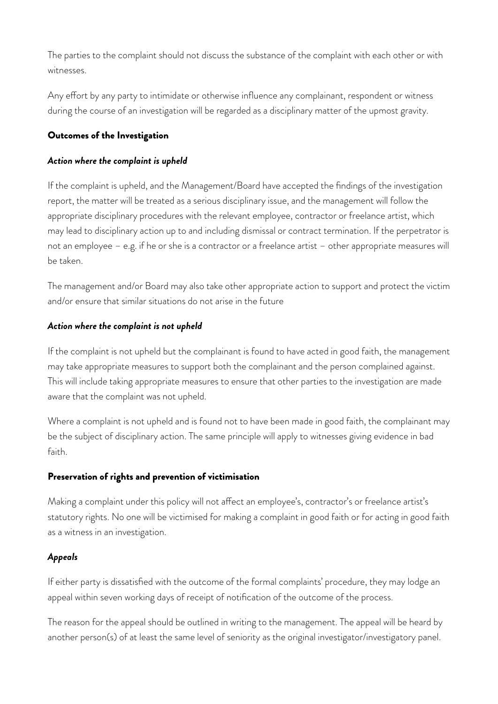The parties to the complaint should not discuss the substance of the complaint with each other or with witnesses.

Any effort by any party to intimidate or otherwise influence any complainant, respondent or witness during the course of an investigation will be regarded as a disciplinary matter of the upmost gravity.

### Outcomes of the Investigation

### *Action where the complaint is upheld*

If the complaint is upheld, and the Management/Board have accepted the findings of the investigation report, the matter will be treated as a serious disciplinary issue, and the management will follow the appropriate disciplinary procedures with the relevant employee, contractor or freelance artist, which may lead to disciplinary action up to and including dismissal or contract termination. If the perpetrator is not an employee – e.g. if he or she is a contractor or a freelance artist – other appropriate measures will be taken.

The management and/or Board may also take other appropriate action to support and protect the victim and/or ensure that similar situations do not arise in the future

## *Action where the complaint is not upheld*

If the complaint is not upheld but the complainant is found to have acted in good faith, the management may take appropriate measures to support both the complainant and the person complained against. This will include taking appropriate measures to ensure that other parties to the investigation are made aware that the complaint was not upheld.

Where a complaint is not upheld and is found not to have been made in good faith, the complainant may be the subject of disciplinary action. The same principle will apply to witnesses giving evidence in bad faith.

# Preservation of rights and prevention of victimisation

Making a complaint under this policy will not affect an employee's, contractor's or freelance artist's statutory rights. No one will be victimised for making a complaint in good faith or for acting in good faith as a witness in an investigation.

# *Appeals*

If either party is dissatisfied with the outcome of the formal complaints' procedure, they may lodge an appeal within seven working days of receipt of notification of the outcome of the process.

The reason for the appeal should be outlined in writing to the management. The appeal will be heard by another person(s) of at least the same level of seniority as the original investigator/investigatory panel.